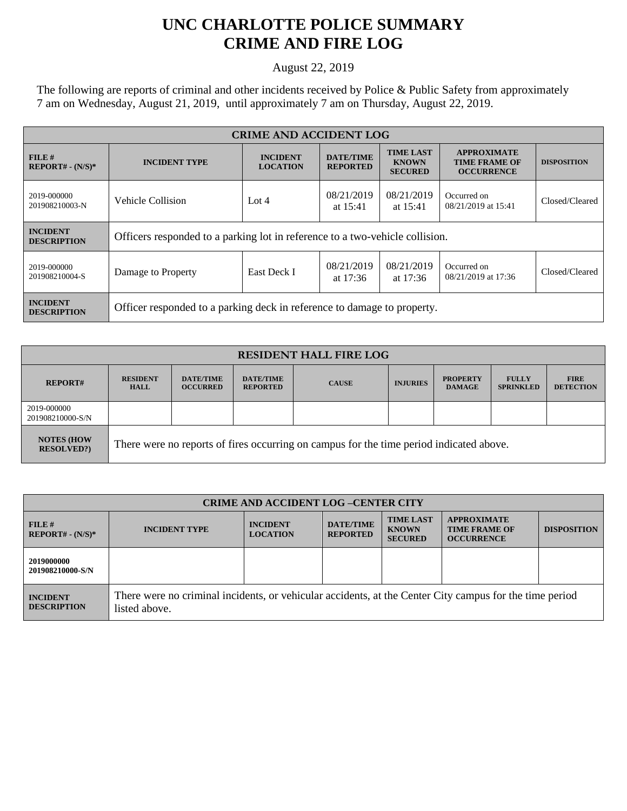## **UNC CHARLOTTE POLICE SUMMARY CRIME AND FIRE LOG**

August 22, 2019

The following are reports of criminal and other incidents received by Police & Public Safety from approximately 7 am on Wednesday, August 21, 2019, until approximately 7 am on Thursday, August 22, 2019.

| <b>CRIME AND ACCIDENT LOG</b>         |                                                                              |                                                                           |                          |                                                    |                                                                 |                    |
|---------------------------------------|------------------------------------------------------------------------------|---------------------------------------------------------------------------|--------------------------|----------------------------------------------------|-----------------------------------------------------------------|--------------------|
| FILE H<br>$REPORT# - (N/S)*$          | <b>INCIDENT TYPE</b>                                                         | <b>INCIDENT</b><br><b>DATE/TIME</b><br><b>LOCATION</b><br><b>REPORTED</b> |                          | <b>TIME LAST</b><br><b>KNOWN</b><br><b>SECURED</b> | <b>APPROXIMATE</b><br><b>TIME FRAME OF</b><br><b>OCCURRENCE</b> | <b>DISPOSITION</b> |
| 2019-000000<br>201908210003-N         | Vehicle Collision                                                            | Lot $4$                                                                   | 08/21/2019<br>at $15:41$ | 08/21/2019<br>at $15:41$                           | Occurred on<br>08/21/2019 at 15:41                              | Closed/Cleared     |
| <b>INCIDENT</b><br><b>DESCRIPTION</b> | Officers responded to a parking lot in reference to a two-vehicle collision. |                                                                           |                          |                                                    |                                                                 |                    |
| 2019-000000<br>201908210004-S         | Damage to Property                                                           | East Deck I                                                               | 08/21/2019<br>at $17:36$ | 08/21/2019<br>at $17:36$                           | Occurred on<br>08/21/2019 at 17:36                              | Closed/Cleared     |
| <b>INCIDENT</b><br><b>DESCRIPTION</b> | Officer responded to a parking deck in reference to damage to property.      |                                                                           |                          |                                                    |                                                                 |                    |

| <b>RESIDENT HALL FIRE LOG</b>         |                                                                                         |                                     |                                     |              |                 |                                  |                                  |                                 |
|---------------------------------------|-----------------------------------------------------------------------------------------|-------------------------------------|-------------------------------------|--------------|-----------------|----------------------------------|----------------------------------|---------------------------------|
| <b>REPORT#</b>                        | <b>RESIDENT</b><br><b>HALL</b>                                                          | <b>DATE/TIME</b><br><b>OCCURRED</b> | <b>DATE/TIME</b><br><b>REPORTED</b> | <b>CAUSE</b> | <b>INJURIES</b> | <b>PROPERTY</b><br><b>DAMAGE</b> | <b>FULLY</b><br><b>SPRINKLED</b> | <b>FIRE</b><br><b>DETECTION</b> |
| 2019-000000<br>201908210000-S/N       |                                                                                         |                                     |                                     |              |                 |                                  |                                  |                                 |
| <b>NOTES (HOW</b><br><b>RESOLVED?</b> | There were no reports of fires occurring on campus for the time period indicated above. |                                     |                                     |              |                 |                                  |                                  |                                 |

| <b>CRIME AND ACCIDENT LOG-CENTER CITY</b> |                                                                                                                          |                                    |                                     |                                                    |                                                                 |                    |
|-------------------------------------------|--------------------------------------------------------------------------------------------------------------------------|------------------------------------|-------------------------------------|----------------------------------------------------|-----------------------------------------------------------------|--------------------|
| FILE#<br>$REPORT# - (N/S)*$               | <b>INCIDENT TYPE</b>                                                                                                     | <b>INCIDENT</b><br><b>LOCATION</b> | <b>DATE/TIME</b><br><b>REPORTED</b> | <b>TIME LAST</b><br><b>KNOWN</b><br><b>SECURED</b> | <b>APPROXIMATE</b><br><b>TIME FRAME OF</b><br><b>OCCURRENCE</b> | <b>DISPOSITION</b> |
| 2019000000<br>201908210000-S/N            |                                                                                                                          |                                    |                                     |                                                    |                                                                 |                    |
| <b>INCIDENT</b><br><b>DESCRIPTION</b>     | There were no criminal incidents, or vehicular accidents, at the Center City campus for the time period<br>listed above. |                                    |                                     |                                                    |                                                                 |                    |